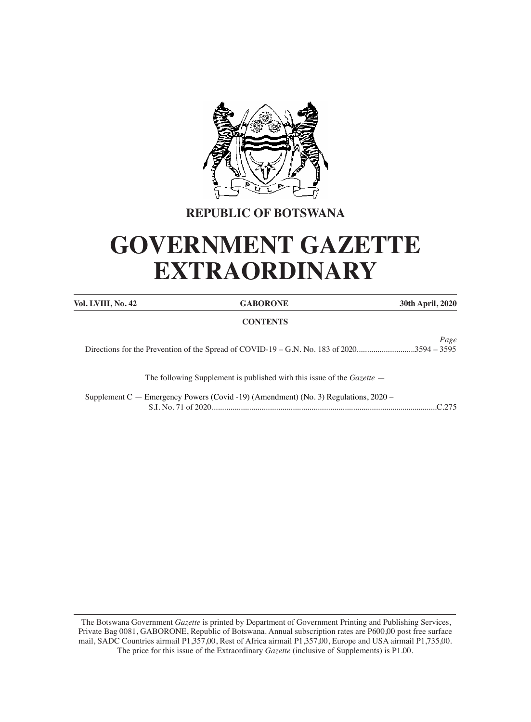

## **REPUBLIC OF BOTSWANA**

# **GOVERNMENT GAZETTE EXTRAORDINARY**

| Vol. LVIII, No. 42 | <b>GABORONE</b>                                                                       | 30th April, 2020 |
|--------------------|---------------------------------------------------------------------------------------|------------------|
|                    | <b>CONTENTS</b>                                                                       |                  |
|                    |                                                                                       | Page             |
|                    | The following Supplement is published with this issue of the <i>Gazette</i> –         |                  |
|                    | Supplement C — Emergency Powers (Covid -19) (Amendment) (No. 3) Regulations, $2020 -$ | $C$ 275          |

The Botswana Government *Gazette* is printed by Department of Government Printing and Publishing Services, Private Bag 0081, GABORONE, Republic of Botswana. Annual subscription rates are P600,00 post free surface mail, SADC Countries airmail P1,357,00, Rest of Africa airmail P1,357,00, Europe and USA airmail P1,735,00. The price for this issue of the Extraordinary *Gazette* (inclusive of Supplements) is P1.00.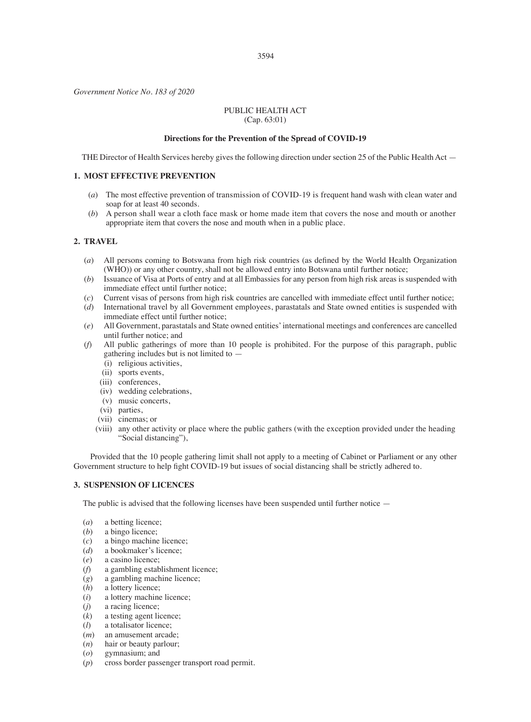*Government Notice No. 183 of 2020*

#### PUBLIC HEALTH ACT (Cap. 63:01)

#### **Directions for the Prevention of the Spread of COVID-19**

THE Director of Health Services hereby gives the following direction under section 25 of the Public Health Act —

#### **1. MOST EFFECTIVE PREVENTION**

- (*a*) The most effective prevention of transmission of COVID-19 is frequent hand wash with clean water and soap for at least 40 seconds.
- (*b*) A person shall wear a cloth face mask or home made item that covers the nose and mouth or another appropriate item that covers the nose and mouth when in a public place.

#### **2. TRAVEL**

- (*a*) All persons coming to Botswana from high risk countries (as defined by the World Health Organization (WHO)) or any other country, shall not be allowed entry into Botswana until further notice;
- (*b*) Issuance of Visa at Ports of entry and at all Embassies for any person from high risk areas is suspended with immediate effect until further notice;
- (*c*) Current visas of persons from high risk countries are cancelled with immediate effect until further notice; (*d*) International travel by all Government employees, parastatals and State owned entities is suspended with immediate effect until further notice;
- (*e*) All Government, parastatals and State owned entities'international meetings and conferences are cancelled until further notice; and
- (*f*) All public gatherings of more than 10 people is prohibited. For the purpose of this paragraph, public gathering includes but is not limited to —
	- (i) religious activities,
	- (ii) sports events,
	- (iii) conferences.
	- (iv) wedding celebrations,
	- $(v)$  music concerts,
	- (vi) parties,
	- (vii) cinemas; or
	- (viii) any other activity or place where the public gathers (with the exception provided under the heading "Social distancing"),

 Provided that the 10 people gathering limit shall not apply to a meeting of Cabinet or Parliament or any other Government structure to help fight COVID-19 but issues of social distancing shall be strictly adhered to.

#### **3. SUSPENSION OF LICENCES**

The public is advised that the following licenses have been suspended until further notice —

- (*a*) a betting licence;<br>(*b*) a bingo licence;
- (*b*) a bingo licence;<br>(*c*) a bingo machine
- a bingo machine licence;
- (*d*) a bookmaker's licence;<br>(*e*) a casino licence;
- (*e*) a casino licence;<br>(*f*) a gambling estable
- a gambling establishment licence;
- $(g)$  a gambling machine licence;<br> $(h)$  a lottery licence:
- $(h)$  a lottery licence;<br>(*i*) a lottery machine
- $(i)$  a lottery machine licence;<br> $(i)$  a racing licence;
- ( $i$ ) a racing licence;<br>( $k$ ) a testing agent li
- $(k)$  a testing agent licence;<br> $(l)$  a totalisator licence;
- a totalisator licence;
- $(m)$  an amusement arcade;<br> $(n)$  hair or beauty parlour;
- ( $n$ ) hair or beauty parlour;<br>( $o$ ) gymnasium; and
- (*o*) gymnasium; and<br>(*p*) cross border pass
- cross border passenger transport road permit.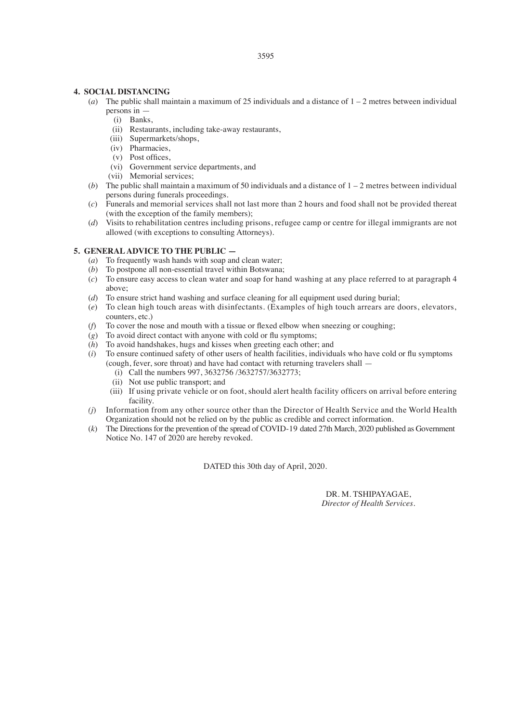#### **4. SOCIAL DISTANCING**

- (*a*) The public shall maintain a maximum of 25 individuals and a distance of 1 2 metres between individual persons in —
	- (i) Banks,
	- (ii) Restaurants, including take-away restaurants,
	- (iii) Supermarkets/shops,
	- (iv) Pharmacies,
	- (v) Post offices,
	- (vi) Government service departments, and
	- (vii) Memorial services;
- (*b*) The public shall maintain a maximum of 50 individuals and a distance of  $1 2$  metres between individual persons during funerals proceedings.
- (*c*) Funerals and memorial services shall not last more than 2 hours and food shall not be provided thereat (with the exception of the family members);
- (*d*) Visits to rehabilitation centres including prisons, refugee camp or centre for illegal immigrants are not allowed (with exceptions to consulting Attorneys).

#### **5. GENERAL ADVICE TO THE PUBLIC —**

- (*a*) To frequently wash hands with soap and clean water:
- (*b*) To postpone all non-essential travel within Botswana;
- (*c*) To ensure easy access to clean water and soap for hand washing at any place referred to at paragraph 4 above;
- (*d*) To ensure strict hand washing and surface cleaning for all equipment used during burial;
- (*e*) To clean high touch areas with disinfectants. (Examples of high touch arrears are doors, elevators, counters, etc.)
- $(f)$  To cover the nose and mouth with a tissue or flexed elbow when sneezing or coughing;
- $(g)$  To avoid direct contact with anyone with cold or flu symptoms:
- $(h)$  To avoid handshakes, hugs and kisses when greeting each other; and
- (*i*) To ensure continued safety of other users of health facilities, individuals who have cold or flu symptoms (cough, fever, sore throat) and have had contact with returning travelers shall —
	- (i) Call the numbers 997, 3632756 /3632757/3632773;
	- (ii) Not use public transport; and
	- (iii) If using private vehicle or on foot, should alert health facility officers on arrival before entering facility.
- *(j*) Information from any other source other than the Director of Health Service and the World Health Organization should not be relied on by the public as credible and correct information.
- (*k*) The Directionsfor the prevention of the spread of COVID-19 dated 27th March, 2020 published as Government Notice No. 147 of 2020 are hereby revoked.

DATED this 30th day of April, 2020.

DR. M. TSHIPAYAGAE, *Director of Health Services.*